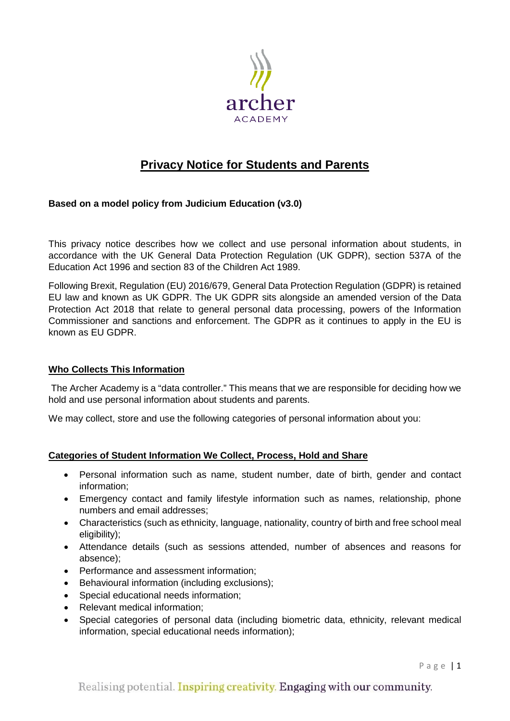

# **Privacy Notice for Students and Parents**

# **Based on a model policy from Judicium Education (v3.0)**

This privacy notice describes how we collect and use personal information about students, in accordance with the UK General Data Protection Regulation (UK GDPR), section 537A of the Education Act 1996 and section 83 of the Children Act 1989.

Following Brexit, Regulation (EU) 2016/679, General Data Protection Regulation (GDPR) is retained EU law and known as UK GDPR. The UK GDPR sits alongside an amended version of the Data Protection Act 2018 that relate to general personal data processing, powers of the Information Commissioner and sanctions and enforcement. The GDPR as it continues to apply in the EU is known as EU GDPR.

#### **Who Collects This Information**

The Archer Academy is a "data controller." This means that we are responsible for deciding how we hold and use personal information about students and parents.

We may collect, store and use the following categories of personal information about you:

#### **Categories of Student Information We Collect, Process, Hold and Share**

- Personal information such as name, student number, date of birth, gender and contact information;
- Emergency contact and family lifestyle information such as names, relationship, phone numbers and email addresses;
- Characteristics (such as ethnicity, language, nationality, country of birth and free school meal eligibility);
- Attendance details (such as sessions attended, number of absences and reasons for absence);
- Performance and assessment information;
- Behavioural information (including exclusions);
- Special educational needs information;
- Relevant medical information:
- Special categories of personal data (including biometric data, ethnicity, relevant medical information, special educational needs information);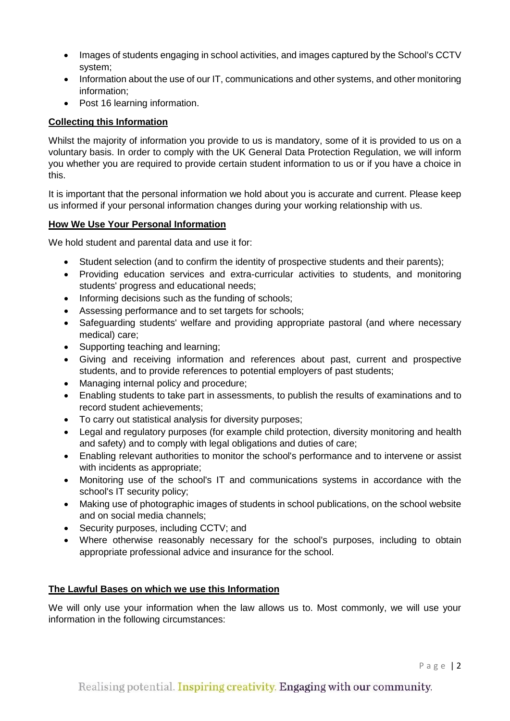- Images of students engaging in school activities, and images captured by the School's CCTV system;
- Information about the use of our IT, communications and other systems, and other monitoring information;
- Post 16 learning information.

# **Collecting this Information**

Whilst the majority of information you provide to us is mandatory, some of it is provided to us on a voluntary basis. In order to comply with the UK General Data Protection Regulation, we will inform you whether you are required to provide certain student information to us or if you have a choice in this.

It is important that the personal information we hold about you is accurate and current. Please keep us informed if your personal information changes during your working relationship with us.

# **How We Use Your Personal Information**

We hold student and parental data and use it for:

- Student selection (and to confirm the identity of prospective students and their parents);
- Providing education services and extra-curricular activities to students, and monitoring students' progress and educational needs;
- Informing decisions such as the funding of schools;
- Assessing performance and to set targets for schools;
- Safeguarding students' welfare and providing appropriate pastoral (and where necessary medical) care;
- Supporting teaching and learning;
- Giving and receiving information and references about past, current and prospective students, and to provide references to potential employers of past students;
- Managing internal policy and procedure;
- Enabling students to take part in assessments, to publish the results of examinations and to record student achievements;
- To carry out statistical analysis for diversity purposes;
- Legal and regulatory purposes (for example child protection, diversity monitoring and health and safety) and to comply with legal obligations and duties of care;
- Enabling relevant authorities to monitor the school's performance and to intervene or assist with incidents as appropriate;
- Monitoring use of the school's IT and communications systems in accordance with the school's IT security policy;
- Making use of photographic images of students in school publications, on the school website and on social media channels;
- Security purposes, including CCTV; and
- Where otherwise reasonably necessary for the school's purposes, including to obtain appropriate professional advice and insurance for the school.

# **The Lawful Bases on which we use this Information**

We will only use your information when the law allows us to. Most commonly, we will use your information in the following circumstances: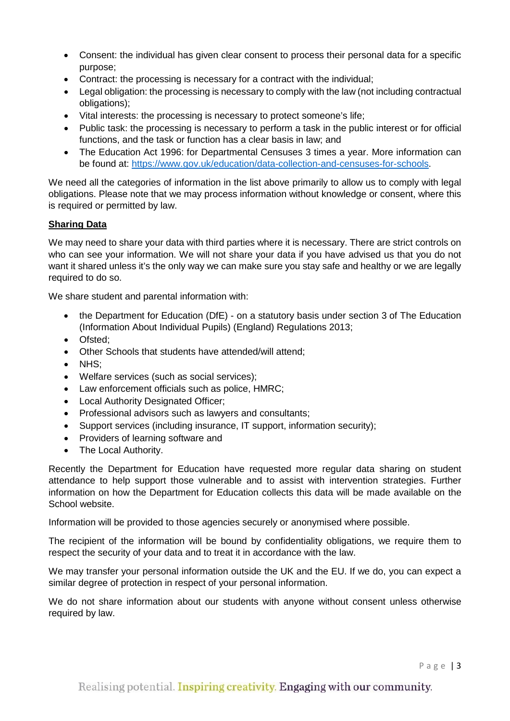- Consent: the individual has given clear consent to process their personal data for a specific purpose;
- Contract: the processing is necessary for a contract with the individual;
- Legal obligation: the processing is necessary to comply with the law (not including contractual obligations);
- Vital interests: the processing is necessary to protect someone's life;
- Public task: the processing is necessary to perform a task in the public interest or for official functions, and the task or function has a clear basis in law; and
- The Education Act 1996: for Departmental Censuses 3 times a year. More information can be found at: [https://www.gov.uk/education/data-collection-and-censuses-for-schools.](https://www.gov.uk/education/data-collection-and-censuses-for-schools)

We need all the categories of information in the list above primarily to allow us to comply with legal obligations. Please note that we may process information without knowledge or consent, where this is required or permitted by law.

#### **Sharing Data**

We may need to share your data with third parties where it is necessary. There are strict controls on who can see your information. We will not share your data if you have advised us that you do not want it shared unless it's the only way we can make sure you stay safe and healthy or we are legally required to do so.

We share student and parental information with:

- the Department for Education (DfE) on a statutory basis under section 3 of The Education (Information About Individual Pupils) (England) Regulations 2013;
- Ofsted:
- Other Schools that students have attended/will attend;
- NHS;
- Welfare services (such as social services);
- Law enforcement officials such as police, HMRC;
- **Local Authority Designated Officer;**
- Professional advisors such as lawyers and consultants;
- Support services (including insurance, IT support, information security);
- Providers of learning software and
- The Local Authority.

Recently the Department for Education have requested more regular data sharing on student attendance to help support those vulnerable and to assist with intervention strategies. Further information on how the Department for Education collects this data will be made available on the School website.

Information will be provided to those agencies securely or anonymised where possible.

The recipient of the information will be bound by confidentiality obligations, we require them to respect the security of your data and to treat it in accordance with the law.

We may transfer your personal information outside the UK and the EU. If we do, you can expect a similar degree of protection in respect of your personal information.

We do not share information about our students with anyone without consent unless otherwise required by law.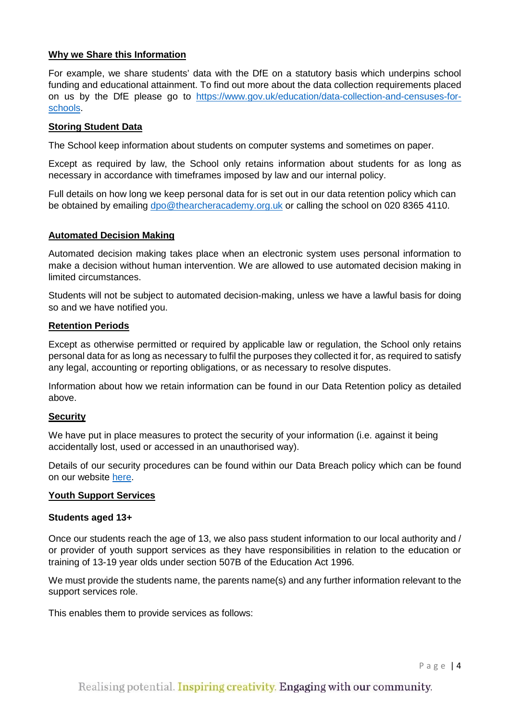#### **Why we Share this Information**

For example, we share students' data with the DfE on a statutory basis which underpins school funding and educational attainment. To find out more about the data collection requirements placed on us by the DfE please go to [https://www.gov.uk/education/data-collection-and-censuses-for](https://www.gov.uk/education/data-collection-and-censuses-for-schools)[schools.](https://www.gov.uk/education/data-collection-and-censuses-for-schools)

#### **Storing Student Data**

The School keep information about students on computer systems and sometimes on paper.

Except as required by law, the School only retains information about students for as long as necessary in accordance with timeframes imposed by law and our internal policy.

Full details on how long we keep personal data for is set out in our data retention policy which can be obtained by emailing [dpo@thearcheracademy.org.uk](mailto:dpo@thearcheracademy.org.uk) or calling the school on 020 8365 4110.

#### **Automated Decision Making**

Automated decision making takes place when an electronic system uses personal information to make a decision without human intervention. We are allowed to use automated decision making in limited circumstances.

Students will not be subject to automated decision-making, unless we have a lawful basis for doing so and we have notified you.

#### **Retention Periods**

Except as otherwise permitted or required by applicable law or regulation, the School only retains personal data for as long as necessary to fulfil the purposes they collected it for, as required to satisfy any legal, accounting or reporting obligations, or as necessary to resolve disputes.

Information about how we retain information can be found in our Data Retention policy as detailed above.

#### **Security**

We have put in place measures to protect the security of your information (i.e. against it being accidentally lost, used or accessed in an unauthorised way).

Details of our security procedures can be found within our Data Breach policy which can be found on our website [here.](https://thearcheracademy.org.uk/data-protection/)

#### **Youth Support Services**

#### **Students aged 13+**

Once our students reach the age of 13, we also pass student information to our local authority and / or provider of youth support services as they have responsibilities in relation to the education or training of 13-19 year olds under section 507B of the Education Act 1996.

We must provide the students name, the parents name(s) and any further information relevant to the support services role.

This enables them to provide services as follows: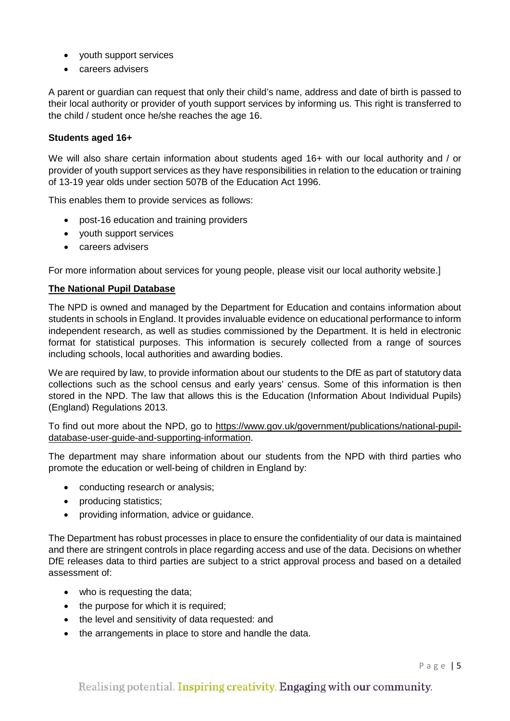- youth support services
- careers advisers

A parent or guardian can request that only their child's name, address and date of birth is passed to their local authority or provider of youth support services by informing us. This right is transferred to the child / student once he/she reaches the age 16.

#### **Students aged 16+**

We will also share certain information about students aged 16+ with our local authority and / or provider of youth support services as they have responsibilities in relation to the education or training of 13-19 year olds under section 507B of the Education Act 1996.

This enables them to provide services as follows:

- post-16 education and training providers
- youth support services
- careers advisers

For more information about services for young people, please visit our local authority website.]

### **The National Pupil Database**

The NPD is owned and managed by the Department for Education and contains information about students in schools in England. It provides invaluable evidence on educational performance to inform independent research, as well as studies commissioned by the Department. It is held in electronic format for statistical purposes. This information is securely collected from a range of sources including schools, local authorities and awarding bodies.

We are required by law, to provide information about our students to the DfE as part of statutory data collections such as the school census and early years' census. Some of this information is then stored in the NPD. The law that allows this is the Education (Information About Individual Pupils) (England) Regulations 2013.

To find out more about the NPD, go to [https://www.gov.uk/government/publications/national-pupil](https://www.gov.uk/government/publications/national-pupil-database-user-guide-and-supporting-information)[database-user-guide-and-supporting-information.](https://www.gov.uk/government/publications/national-pupil-database-user-guide-and-supporting-information)

The department may share information about our students from the NPD with third parties who promote the education or well-being of children in England by:

- conducting research or analysis:
- producing statistics;
- providing information, advice or guidance.

The Department has robust processes in place to ensure the confidentiality of our data is maintained and there are stringent controls in place regarding access and use of the data. Decisions on whether DfE releases data to third parties are subject to a strict approval process and based on a detailed assessment of:

- who is requesting the data;
- the purpose for which it is required;
- the level and sensitivity of data requested: and
- the arrangements in place to store and handle the data.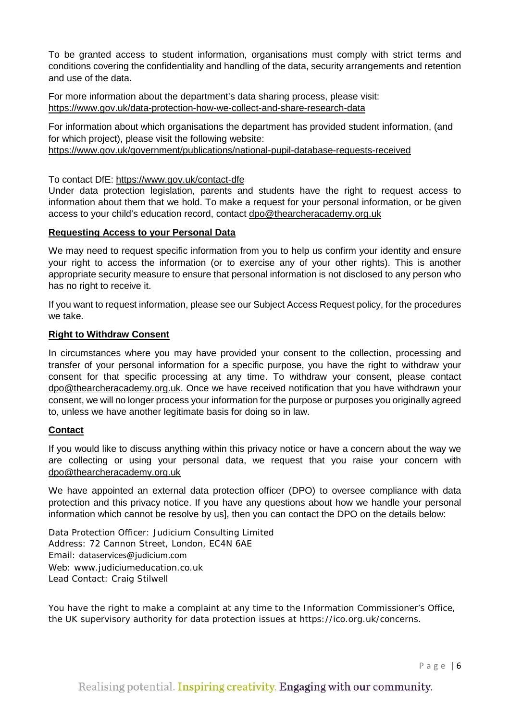To be granted access to student information, organisations must comply with strict terms and conditions covering the confidentiality and handling of the data, security arrangements and retention and use of the data.

For more information about the department's data sharing process, please visit: <https://www.gov.uk/data-protection-how-we-collect-and-share-research-data>

For information about which organisations the department has provided student information, (and for which project), please visit the following website: <https://www.gov.uk/government/publications/national-pupil-database-requests-received>

#### To contact DfE:<https://www.gov.uk/contact-dfe>

Under data protection legislation, parents and students have the right to request access to information about them that we hold. To make a request for your personal information, or be given access to your child's education record, contact [dpo@thearcheracademy.org.uk](mailto:dpo@thearcheracademy.org.uk)

#### **Requesting Access to your Personal Data**

We may need to request specific information from you to help us confirm your identity and ensure your right to access the information (or to exercise any of your other rights). This is another appropriate security measure to ensure that personal information is not disclosed to any person who has no right to receive it.

If you want to request information, please see our Subject Access Request policy, for the procedures we take.

#### **Right to Withdraw Consent**

In circumstances where you may have provided your consent to the collection, processing and transfer of your personal information for a specific purpose, you have the right to withdraw your consent for that specific processing at any time. To withdraw your consent, please contact [dpo@thearcheracademy.org.uk.](mailto:dpo@thearcheracademy.org.uk) Once we have received notification that you have withdrawn your consent, we will no longer process your information for the purpose or purposes you originally agreed to, unless we have another legitimate basis for doing so in law.

#### **Contact**

If you would like to discuss anything within this privacy notice or have a concern about the way we are collecting or using your personal data, we request that you raise your concern with [dpo@thearcheracademy.org.uk](mailto:dpo@thearcheracademy.org.uk)

We have appointed an external data protection officer (DPO) to oversee compliance with data protection and this privacy notice. If you have any questions about how we handle your personal information which cannot be resolve by us], then you can contact the DPO on the details below:

Data Protection Officer: Judicium Consulting Limited Address: 72 Cannon Street, London, EC4N 6AE Email: [dataservices@judicium.com](mailto:dataservices@judicium.com) Web: www.judiciumeducation.co.uk Lead Contact: Craig Stilwell

You have the right to make a complaint at any time to the Information Commissioner's Office, the UK supervisory authority for data protection issues at https://ico.org.uk/concerns.